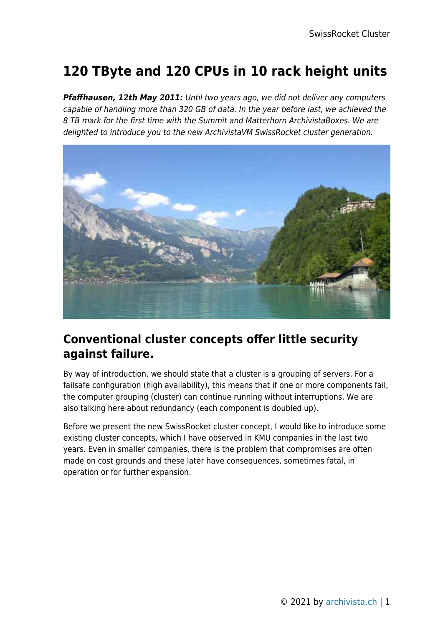# **120 TByte and 120 CPUs in 10 rack height units**

*Pfaffhausen, 12th May 2011:* Until two years ago, we did not deliver any computers capable of handling more than 320 GB of data. In the year before last, we achieved the 8 TB mark for the first time with the Summit and Matterhorn ArchivistaBoxes. We are delighted to introduce you to the new ArchivistaVM SwissRocket cluster generation.



## **Conventional cluster concepts offer little security against failure.**

By way of introduction, we should state that a cluster is a grouping of servers. For a failsafe configuration (high availability), this means that if one or more components fail, the computer grouping (cluster) can continue running without interruptions. We are also talking here about redundancy (each component is doubled up).

Before we present the new SwissRocket cluster concept, I would like to introduce some existing cluster concepts, which I have observed in KMU companies in the last two years. Even in smaller companies, there is the problem that compromises are often made on cost grounds and these later have consequences, sometimes fatal, in operation or for further expansion.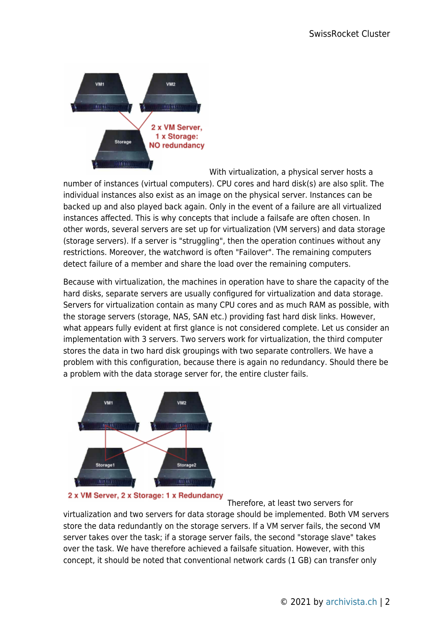

With virtualization, a physical server hosts a number of instances (virtual computers). CPU cores and hard disk(s) are also split. The individual instances also exist as an image on the physical server. Instances can be backed up and also played back again. Only in the event of a failure are all virtualized instances affected. This is why concepts that include a failsafe are often chosen. In other words, several servers are set up for virtualization (VM servers) and data storage (storage servers). If a server is "struggling", then the operation continues without any restrictions. Moreover, the watchword is often "Failover". The remaining computers detect failure of a member and share the load over the remaining computers.

Because with virtualization, the machines in operation have to share the capacity of the hard disks, separate servers are usually configured for virtualization and data storage. Servers for virtualization contain as many CPU cores and as much RAM as possible, with the storage servers (storage, NAS, SAN etc.) providing fast hard disk links. However, what appears fully evident at first glance is not considered complete. Let us consider an implementation with 3 servers. Two servers work for virtualization, the third computer stores the data in two hard disk groupings with two separate controllers. We have a problem with this configuration, because there is again no redundancy. Should there be a problem with the data storage server for, the entire cluster fails.



2 x VM Server, 2 x Storage: 1 x Redundancy

Therefore, at least two servers for

virtualization and two servers for data storage should be implemented. Both VM servers store the data redundantly on the storage servers. If a VM server fails, the second VM server takes over the task; if a storage server fails, the second "storage slave" takes over the task. We have therefore achieved a failsafe situation. However, with this concept, it should be noted that conventional network cards (1 GB) can transfer only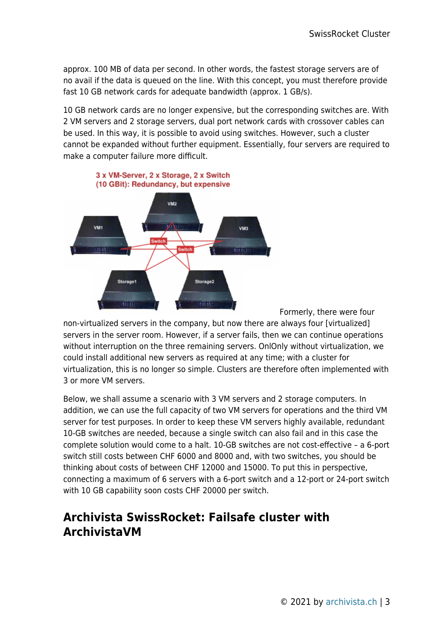approx. 100 MB of data per second. In other words, the fastest storage servers are of no avail if the data is queued on the line. With this concept, you must therefore provide fast 10 GB network cards for adequate bandwidth (approx. 1 GB/s).

10 GB network cards are no longer expensive, but the corresponding switches are. With 2 VM servers and 2 storage servers, dual port network cards with crossover cables can be used. In this way, it is possible to avoid using switches. However, such a cluster cannot be expanded without further equipment. Essentially, four servers are required to make a computer failure more difficult.



Formerly, there were four

non-virtualized servers in the company, but now there are always four [virtualized] servers in the server room. However, if a server fails, then we can continue operations without interruption on the three remaining servers. OnlOnly without virtualization, we could install additional new servers as required at any time; with a cluster for virtualization, this is no longer so simple. Clusters are therefore often implemented with 3 or more VM servers.

Below, we shall assume a scenario with 3 VM servers and 2 storage computers. In addition, we can use the full capacity of two VM servers for operations and the third VM server for test purposes. In order to keep these VM servers highly available, redundant 10-GB switches are needed, because a single switch can also fail and in this case the complete solution would come to a halt. 10-GB switches are not cost-effective – a 6-port switch still costs between CHF 6000 and 8000 and, with two switches, you should be thinking about costs of between CHF 12000 and 15000. To put this in perspective, connecting a maximum of 6 servers with a 6-port switch and a 12-port or 24-port switch with 10 GB capability soon costs CHF 20000 per switch.

### **Archivista SwissRocket: Failsafe cluster with ArchivistaVM**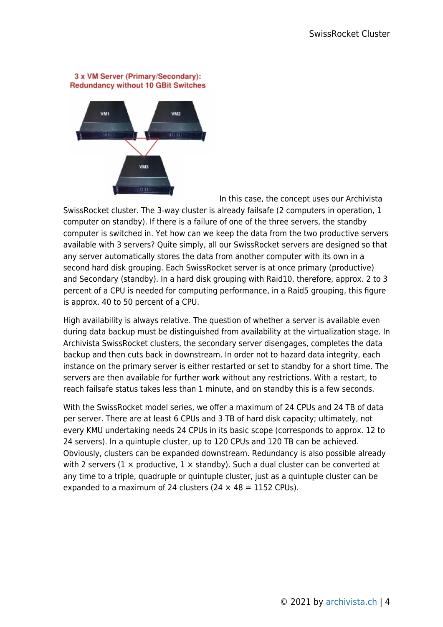#### 3 x VM Server (Primary/Secondary): **Redundancy without 10 GBit Switches**



In this case, the concept uses our Archivista SwissRocket cluster. The 3-way cluster is already failsafe (2 computers in operation, 1 computer on standby). If there is a failure of one of the three servers, the standby computer is switched in. Yet how can we keep the data from the two productive servers available with 3 servers? Quite simply, all our SwissRocket servers are designed so that any server automatically stores the data from another computer with its own in a second hard disk grouping. Each SwissRocket server is at once primary (productive) and Secondary (standby). In a hard disk grouping with Raid10, therefore, approx. 2 to 3 percent of a CPU is needed for computing performance, in a Raid5 grouping, this figure is approx. 40 to 50 percent of a CPU.

High availability is always relative. The question of whether a server is available even during data backup must be distinguished from availability at the virtualization stage. In Archivista SwissRocket clusters, the secondary server disengages, completes the data backup and then cuts back in downstream. In order not to hazard data integrity, each instance on the primary server is either restarted or set to standby for a short time. The servers are then available for further work without any restrictions. With a restart, to reach failsafe status takes less than 1 minute, and on standby this is a few seconds.

With the SwissRocket model series, we offer a maximum of 24 CPUs and 24 TB of data per server. There are at least 6 CPUs and 3 TB of hard disk capacity; ultimately, not every KMU undertaking needs 24 CPUs in its basic scope (corresponds to approx. 12 to 24 servers). In a quintuple cluster, up to 120 CPUs and 120 TB can be achieved. Obviously, clusters can be expanded downstream. Redundancy is also possible already with 2 servers (1  $\times$  productive, 1  $\times$  standby). Such a dual cluster can be converted at any time to a triple, quadruple or quintuple cluster, just as a quintuple cluster can be expanded to a maximum of 24 clusters (24  $\times$  48 = 1152 CPUs).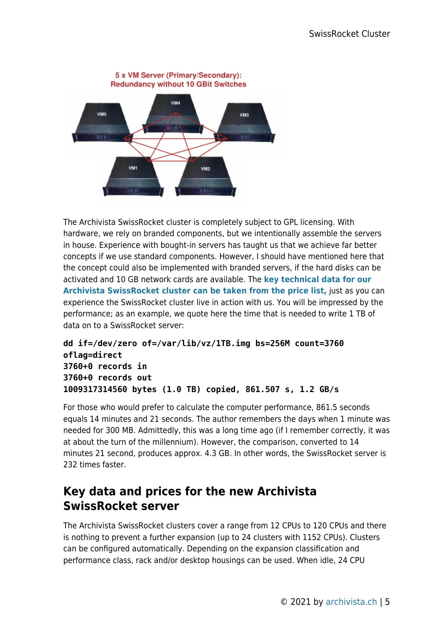

The Archivista SwissRocket cluster is completely subject to GPL licensing. With hardware, we rely on branded components, but we intentionally assemble the servers in house. Experience with bought-in servers has taught us that we achieve far better concepts if we use standard components. However, I should have mentioned here that the concept could also be implemented with branded servers, if the hard disks can be activated and 10 GB network cards are available. The **[key technical data for our](https://archivista.ch/de/media/SwissRocketPreisliste.pdf) [Archivista SwissRocket cluster can be taken from the price list,](https://archivista.ch/de/media/SwissRocketPreisliste.pdf)** just as you can experience the SwissRocket cluster live in action with us. You will be impressed by the performance; as an example, we quote here the time that is needed to write 1 TB of data on to a SwissRocket server:

```
dd if=/dev/zero of=/var/lib/vz/1TB.img bs=256M count=3760
oflag=direct
3760+0 records in
3760+0 records out
1009317314560 bytes (1.0 TB) copied, 861.507 s, 1.2 GB/s
```
For those who would prefer to calculate the computer performance, 861.5 seconds equals 14 minutes and 21 seconds. The author remembers the days when 1 minute was needed for 300 MB. Admittedly, this was a long time ago (if I remember correctly, it was at about the turn of the millennium). However, the comparison, converted to 14 minutes 21 second, produces approx. 4.3 GB. In other words, the SwissRocket server is 232 times faster.

# **Key data and prices for the new Archivista SwissRocket server**

The Archivista SwissRocket clusters cover a range from 12 CPUs to 120 CPUs and there is nothing to prevent a further expansion (up to 24 clusters with 1152 CPUs). Clusters can be configured automatically. Depending on the expansion classification and performance class, rack and/or desktop housings can be used. When idle, 24 CPU